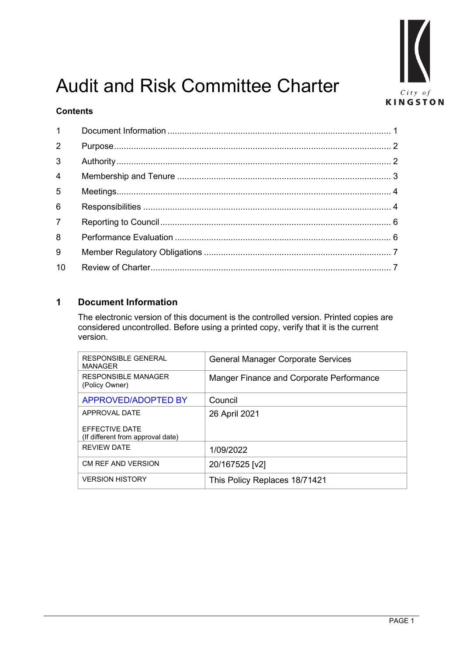

# Audit and Risk Committee Charter

# **Contents**

| $2^{\circ}$     |  |
|-----------------|--|
| 3 <sup>1</sup>  |  |
| $\overline{4}$  |  |
| 5 <sup>1</sup>  |  |
| 6               |  |
| $\overline{7}$  |  |
| 8               |  |
| 9               |  |
| 10 <sup>°</sup> |  |

# <span id="page-0-0"></span>**1 Document Information**

The electronic version of this document is the controlled version. Printed copies are considered uncontrolled. Before using a printed copy, verify that it is the current version.

| <b>RESPONSIBLE GENERAL</b><br><b>MANAGER</b>        | <b>General Manager Corporate Services</b> |  |  |
|-----------------------------------------------------|-------------------------------------------|--|--|
| <b>RESPONSIBLE MANAGER</b><br>(Policy Owner)        | Manger Finance and Corporate Performance  |  |  |
| <b>APPROVED/ADOPTED BY</b>                          | Council                                   |  |  |
| APPROVAL DATE                                       | 26 April 2021                             |  |  |
| EFFECTIVE DATE<br>(If different from approval date) |                                           |  |  |
| <b>REVIEW DATE</b>                                  | 1/09/2022                                 |  |  |
| CM REF AND VERSION                                  | 20/167525 [v2]                            |  |  |
| <b>VERSION HISTORY</b>                              | This Policy Replaces 18/71421             |  |  |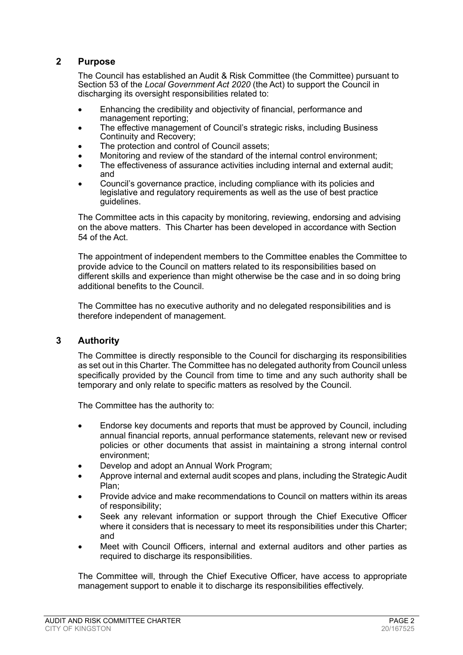# <span id="page-1-0"></span>**2 Purpose**

The Council has established an Audit & Risk Committee (the Committee) pursuant to Section 53 of the *Local Government Act 2020* (the Act) to support the Council in discharging its oversight responsibilities related to:

- Enhancing the credibility and objectivity of financial, performance and management reporting;
- The effective management of Council's strategic risks, including Business Continuity and Recovery;
- The protection and control of Council assets;
- Monitoring and review of the standard of the internal control environment;
- The effectiveness of assurance activities including internal and external audit; and
- Council's governance practice, including compliance with its policies and legislative and regulatory requirements as well as the use of best practice guidelines.

The Committee acts in this capacity by monitoring, reviewing, endorsing and advising on the above matters. This Charter has been developed in accordance with Section 54 of the Act.

The appointment of independent members to the Committee enables the Committee to provide advice to the Council on matters related to its responsibilities based on different skills and experience than might otherwise be the case and in so doing bring additional benefits to the Council.

The Committee has no executive authority and no delegated responsibilities and is therefore independent of management.

#### <span id="page-1-1"></span>**3 Authority**

The Committee is directly responsible to the Council for discharging its responsibilities as set out in this Charter. The Committee has no delegated authority from Council unless specifically provided by the Council from time to time and any such authority shall be temporary and only relate to specific matters as resolved by the Council.

The Committee has the authority to:

- Endorse key documents and reports that must be approved by Council, including annual financial reports, annual performance statements, relevant new or revised policies or other documents that assist in maintaining a strong internal control environment;
- Develop and adopt an Annual Work Program;
- Approve internal and external audit scopes and plans, including the Strategic Audit Plan;
- Provide advice and make recommendations to Council on matters within its areas of responsibility;
- Seek any relevant information or support through the Chief Executive Officer where it considers that is necessary to meet its responsibilities under this Charter; and
- Meet with Council Officers, internal and external auditors and other parties as required to discharge its responsibilities.

The Committee will, through the Chief Executive Officer, have access to appropriate management support to enable it to discharge its responsibilities effectively.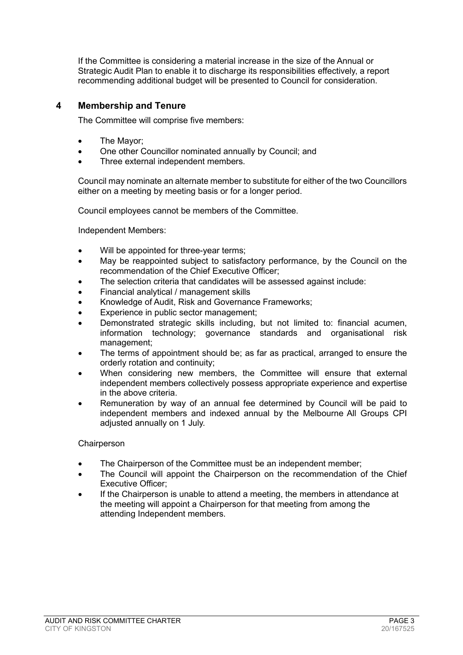If the Committee is considering a material increase in the size of the Annual or Strategic Audit Plan to enable it to discharge its responsibilities effectively, a report recommending additional budget will be presented to Council for consideration.

# <span id="page-2-0"></span>**4 Membership and Tenure**

The Committee will comprise five members:

- The Mayor;
- One other Councillor nominated annually by Council; and
- Three external independent members.

Council may nominate an alternate member to substitute for either of the two Councillors either on a meeting by meeting basis or for a longer period.

Council employees cannot be members of the Committee.

Independent Members:

- Will be appointed for three-year terms;
- May be reappointed subject to satisfactory performance, by the Council on the recommendation of the Chief Executive Officer;
- The selection criteria that candidates will be assessed against include:
- Financial analytical / management skills
- Knowledge of Audit, Risk and Governance Frameworks;
- Experience in public sector management;
- Demonstrated strategic skills including, but not limited to: financial acumen, information technology; governance standards and organisational risk management;
- The terms of appointment should be; as far as practical, arranged to ensure the orderly rotation and continuity;
- When considering new members, the Committee will ensure that external independent members collectively possess appropriate experience and expertise in the above criteria.
- Remuneration by way of an annual fee determined by Council will be paid to independent members and indexed annual by the Melbourne All Groups CPI adjusted annually on 1 July.

#### **Chairperson**

- The Chairperson of the Committee must be an independent member;
- The Council will appoint the Chairperson on the recommendation of the Chief Executive Officer;
- If the Chairperson is unable to attend a meeting, the members in attendance at the meeting will appoint a Chairperson for that meeting from among the attending Independent members.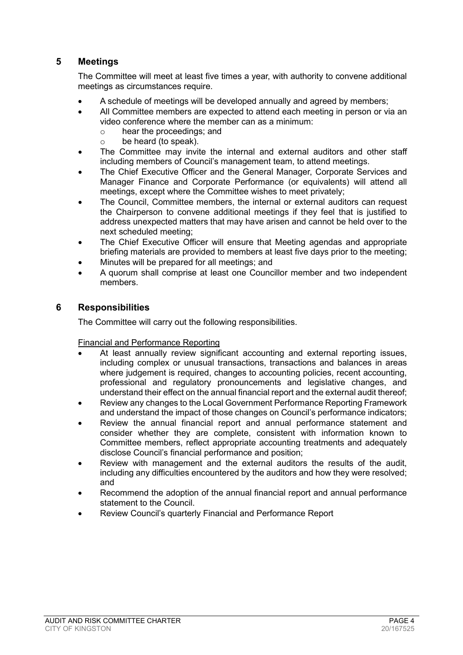# <span id="page-3-0"></span>**5 Meetings**

The Committee will meet at least five times a year, with authority to convene additional meetings as circumstances require.

- A schedule of meetings will be developed annually and agreed by members;
- All Committee members are expected to attend each meeting in person or via an video conference where the member can as a minimum:<br>  $\circ$  hear the proceedings: and
	- $\circ$  hear the proceedings; and  $\circ$  be heard (to speak).
	- be heard (to speak).
- The Committee may invite the internal and external auditors and other staff including members of Council's management team, to attend meetings.
- The Chief Executive Officer and the General Manager, Corporate Services and Manager Finance and Corporate Performance (or equivalents) will attend all meetings, except where the Committee wishes to meet privately;
- The Council, Committee members, the internal or external auditors can request the Chairperson to convene additional meetings if they feel that is justified to address unexpected matters that may have arisen and cannot be held over to the next scheduled meeting;
- The Chief Executive Officer will ensure that Meeting agendas and appropriate briefing materials are provided to members at least five days prior to the meeting;
- Minutes will be prepared for all meetings; and
- A quorum shall comprise at least one Councillor member and two independent members.

## <span id="page-3-1"></span>**6 Responsibilities**

The Committee will carry out the following responsibilities.

Financial and Performance Reporting

- At least annually review significant accounting and external reporting issues, including complex or unusual transactions, transactions and balances in areas where judgement is required, changes to accounting policies, recent accounting, professional and regulatory pronouncements and legislative changes, and understand their effect on the annual financial report and the external audit thereof;
- Review any changes to the Local Government Performance Reporting Framework and understand the impact of those changes on Council's performance indicators;
- Review the annual financial report and annual performance statement and consider whether they are complete, consistent with information known to Committee members, reflect appropriate accounting treatments and adequately disclose Council's financial performance and position;
- Review with management and the external auditors the results of the audit, including any difficulties encountered by the auditors and how they were resolved; and
- Recommend the adoption of the annual financial report and annual performance statement to the Council.
- Review Council's quarterly Financial and Performance Report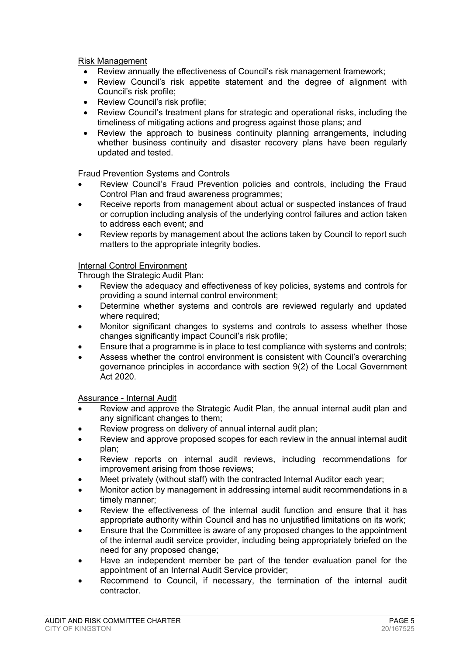Risk Management

- Review annually the effectiveness of Council's risk management framework;
- Review Council's risk appetite statement and the degree of alignment with Council's risk profile;
- Review Council's risk profile;
- Review Council's treatment plans for strategic and operational risks, including the timeliness of mitigating actions and progress against those plans; and
- Review the approach to business continuity planning arrangements, including whether business continuity and disaster recovery plans have been regularly updated and tested.

Fraud Prevention Systems and Controls

- Review Council's Fraud Prevention policies and controls, including the Fraud Control Plan and fraud awareness programmes;
- Receive reports from management about actual or suspected instances of fraud or corruption including analysis of the underlying control failures and action taken to address each event; and
- Review reports by management about the actions taken by Council to report such matters to the appropriate integrity bodies.

#### Internal Control Environment

Through the Strategic Audit Plan:

- Review the adequacy and effectiveness of key policies, systems and controls for providing a sound internal control environment;
- Determine whether systems and controls are reviewed regularly and updated where required;
- Monitor significant changes to systems and controls to assess whether those changes significantly impact Council's risk profile;
- Ensure that a programme is in place to test compliance with systems and controls;
- Assess whether the control environment is consistent with Council's overarching governance principles in accordance with section 9(2) of the Local Government Act 2020.

Assurance - Internal Audit

- Review and approve the Strategic Audit Plan, the annual internal audit plan and any significant changes to them;
- Review progress on delivery of annual internal audit plan;
- Review and approve proposed scopes for each review in the annual internal audit plan;
- Review reports on internal audit reviews, including recommendations for improvement arising from those reviews;
- Meet privately (without staff) with the contracted Internal Auditor each year;
- Monitor action by management in addressing internal audit recommendations in a timely manner;
- Review the effectiveness of the internal audit function and ensure that it has appropriate authority within Council and has no unjustified limitations on its work;
- Ensure that the Committee is aware of any proposed changes to the appointment of the internal audit service provider, including being appropriately briefed on the need for any proposed change;
- Have an independent member be part of the tender evaluation panel for the appointment of an Internal Audit Service provider;
- Recommend to Council, if necessary, the termination of the internal audit contractor.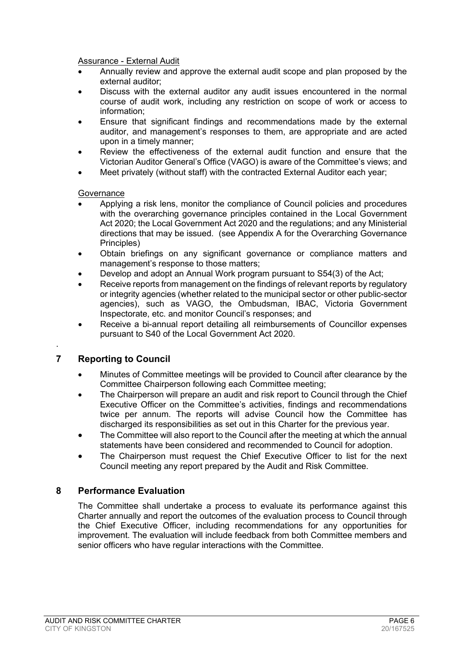Assurance - External Audit

- Annually review and approve the external audit scope and plan proposed by the external auditor;
- Discuss with the external auditor any audit issues encountered in the normal course of audit work, including any restriction on scope of work or access to information;
- Ensure that significant findings and recommendations made by the external auditor, and management's responses to them, are appropriate and are acted upon in a timely manner;
- Review the effectiveness of the external audit function and ensure that the Victorian Auditor General's Office (VAGO) is aware of the Committee's views; and
- Meet privately (without staff) with the contracted External Auditor each year;

#### **Governance**

- Applying a risk lens, monitor the compliance of Council policies and procedures with the overarching governance principles contained in the Local Government Act 2020; the Local Government Act 2020 and the regulations; and any Ministerial directions that may be issued. (see Appendix A for the Overarching Governance Principles)
- Obtain briefings on any significant governance or compliance matters and management's response to those matters;
- Develop and adopt an Annual Work program pursuant to S54(3) of the Act;
- Receive reports from management on the findings of relevant reports by regulatory or integrity agencies (whether related to the municipal sector or other public-sector agencies), such as VAGO, the Ombudsman, IBAC, Victoria Government Inspectorate, etc. and monitor Council's responses; and
- Receive a bi-annual report detailing all reimbursements of Councillor expenses pursuant to S40 of the Local Government Act 2020.

# <span id="page-5-0"></span>**7 Reporting to Council**

.

- Minutes of Committee meetings will be provided to Council after clearance by the Committee Chairperson following each Committee meeting;
- The Chairperson will prepare an audit and risk report to Council through the Chief Executive Officer on the Committee's activities, findings and recommendations twice per annum. The reports will advise Council how the Committee has discharged its responsibilities as set out in this Charter for the previous year.
- The Committee will also report to the Council after the meeting at which the annual statements have been considered and recommended to Council for adoption.
- The Chairperson must request the Chief Executive Officer to list for the next Council meeting any report prepared by the Audit and Risk Committee.

#### <span id="page-5-1"></span>**8 Performance Evaluation**

<span id="page-5-2"></span>The Committee shall undertake a process to evaluate its performance against this Charter annually and report the outcomes of the evaluation process to Council through the Chief Executive Officer, including recommendations for any opportunities for improvement. The evaluation will include feedback from both Committee members and senior officers who have regular interactions with the Committee.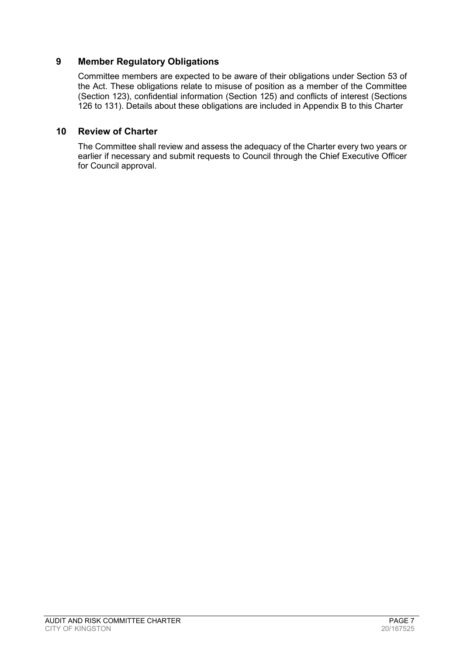# **9 Member Regulatory Obligations**

Committee members are expected to be aware of their obligations under Section 53 of the Act. These obligations relate to misuse of position as a member of the Committee (Section 123), confidential information (Section 125) and conflicts of interest (Sections 126 to 131). Details about these obligations are included in Appendix B to this Charter

#### <span id="page-6-0"></span>**10 Review of Charter**

The Committee shall review and assess the adequacy of the Charter every two years or earlier if necessary and submit requests to Council through the Chief Executive Officer for Council approval.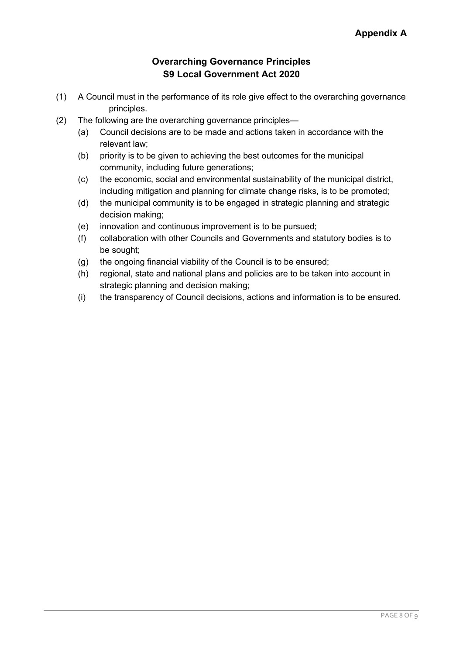# **Overarching Governance Principles S9 Local Government Act 2020**

- (1) A Council must in the performance of its role give effect to the overarching governance principles.
- (2) The following are the overarching governance principles—
	- (a) Council decisions are to be made and actions taken in accordance with the relevant law;
	- (b) priority is to be given to achieving the best outcomes for the municipal community, including future generations;
	- (c) the economic, social and environmental sustainability of the municipal district, including mitigation and planning for climate change risks, is to be promoted;
	- (d) the municipal community is to be engaged in strategic planning and strategic decision making;
	- (e) innovation and continuous improvement is to be pursued;
	- (f) collaboration with other Councils and Governments and statutory bodies is to be sought;
	- (g) the ongoing financial viability of the Council is to be ensured;
	- (h) regional, state and national plans and policies are to be taken into account in strategic planning and decision making;
	- (i) the transparency of Council decisions, actions and information is to be ensured.